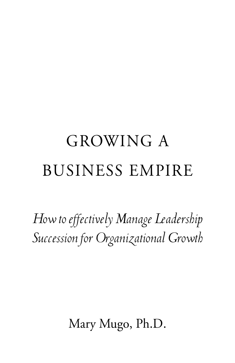# GROWING A BUSINESS EMPIRE

*How to effectively Manage Leadership Succession for Organizational Growth*

Mary Mugo, Ph.D.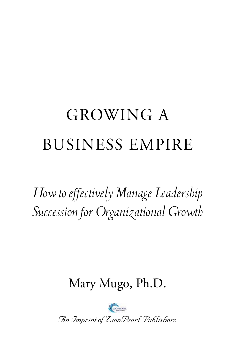## GROWING A BUSINESS EMPIRE

*How to effectively Manage Leadership Succession for Organizational Growth*

Mary Mugo, Ph.D.

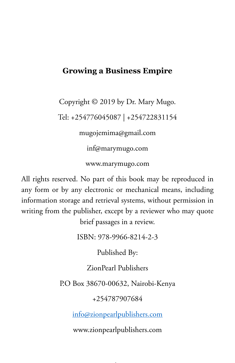#### **Growing a Business Empire**

Copyright © 2019 by Dr. Mary Mugo.

Tel: +254776045087 | +254722831154

mugojemima@gmail.com

inf@marymugo.com

www.marymugo.com

All rights reserved. No part of this book may be reproduced in any form or by any electronic or mechanical means, including information storage and retrieval systems, without permission in writing from the publisher, except by a reviewer who may quote brief passages in a review.

ISBN: 978-9966-8214-2-3

Published By:

ZionPearl Publishers

P.O Box 38670-00632, Nairobi-Kenya

+254787907684

info@zionpearlpublishers.com

www.zionpearlpublishers.com

in the contract of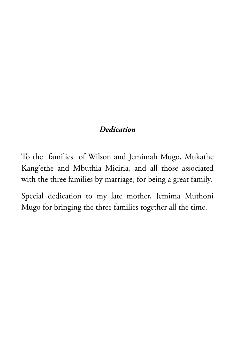#### *Dedication*

To the families of Wilson and Jemimah Mugo, Mukathe Kang'ethe and Mbuthia Miciria, and all those associated with the three families by marriage, for being a great family.

Special dedication to my late mother, Jemima Muthoni Mugo for bringing the three families together all the time.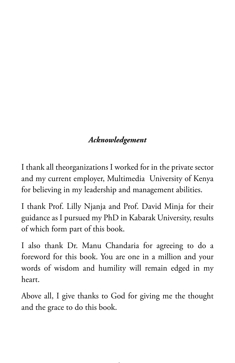### *Acknowledgement*

I thank all theorganizations I worked for in the private sector and my current employer, Multimedia University of Kenya for believing in my leadership and management abilities.

I thank Prof. Lilly Njanja and Prof. David Minja for their guidance as I pursued my PhD in Kabarak University, results of which form part of this book.

I also thank Dr. Manu Chandaria for agreeing to do a foreword for this book. You are one in a million and your words of wisdom and humility will remain edged in my heart.

Above all, I give thanks to God for giving me the thought and the grace to do this book.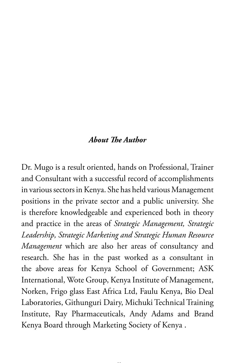#### *About The Author*

Dr. Mugo is a result oriented, hands on Professional, Trainer and Consultant with a successful record of accomplishments in various sectors in Kenya. She has held various Management positions in the private sector and a public university. She is therefore knowledgeable and experienced both in theory and practice in the areas of *Strategic Management, Strategic Leadership, Strategic Marketing and Strategic Human Resource Management* which are also her areas of consultancy and research. She has in the past worked as a consultant in the above areas for Kenya School of Government; ASK International, Wote Group, Kenya Institute of Management, Norken, Frigo glass East Africa Ltd, Faulu Kenya, Bio Deal Laboratories, Githunguri Dairy, Michuki Technical Training Institute, Ray Pharmaceuticals, Andy Adams and Brand Kenya Board through Marketing Society of Kenya .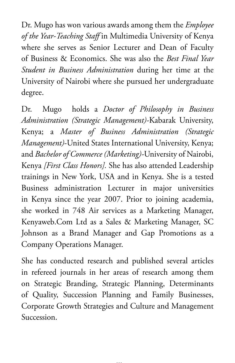Dr. Mugo has won various awards among them the *Employee of the Year-Teaching Staff* in Multimedia University of Kenya where she serves as Senior Lecturer and Dean of Faculty of Business & Economics. She was also the *Best Final Year Student in Business Administration* during her time at the University of Nairobi where she pursued her undergraduate degree.

Dr. Mugo holds a *Doctor of Philosophy in Business Administration (Strategic Management)-*Kabarak University, Kenya; a *Master of Business Administration (Strategic Management)*-United States International University, Kenya; and *Bachelor of Commerce (Marketing)-*University of Nairobi, Kenya *[First Class Honors].* She has also attended Leadership trainings in New York, USA and in Kenya. She is a tested Business administration Lecturer in major universities in Kenya since the year 2007. Prior to joining academia, she worked in 748 Air services as a Marketing Manager, Kenyaweb.Com Ltd as a Sales & Marketing Manager, SC Johnson as a Brand Manager and Gap Promotions as a Company Operations Manager.

She has conducted research and published several articles in refereed journals in her areas of research among them on Strategic Branding, Strategic Planning, Determinants of Quality, Succession Planning and Family Businesses, Corporate Growth Strategies and Culture and Management Succession.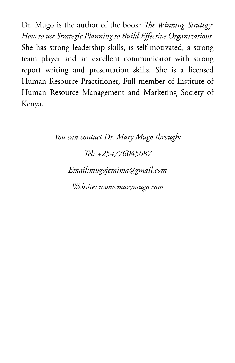Dr. Mugo is the author of the book: *The Winning Strategy: How to use Strategic Planning to Build Effective Organizations.* She has strong leadership skills, is self-motivated, a strong team player and an excellent communicator with strong report writing and presentation skills. She is a licensed Human Resource Practitioner, Full member of Institute of Human Resource Management and Marketing Society of Kenya.

> *You can contact Dr. Mary Mugo through; Tel: +254776045087 Email:mugojemima@gmail.com Website: www.marymugo.com*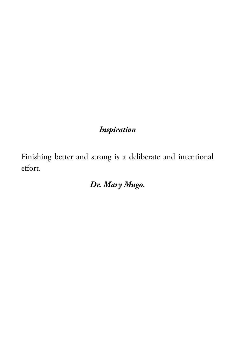### *Inspiration*

Finishing better and strong is a deliberate and intentional effort.

*Dr. Mary Mugo.*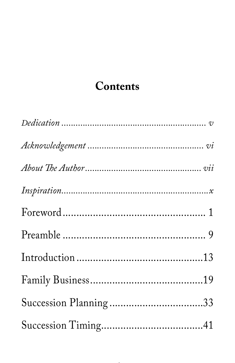## Contents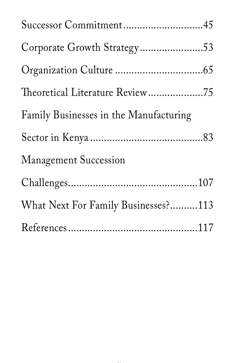| Successor Commitment45                 |  |
|----------------------------------------|--|
| Corporate Growth Strategy53            |  |
|                                        |  |
| Theoretical Literature Review75        |  |
| Family Businesses in the Manufacturing |  |
|                                        |  |
| <b>Management Succession</b>           |  |
|                                        |  |
| What Next For Family Businesses?113    |  |
|                                        |  |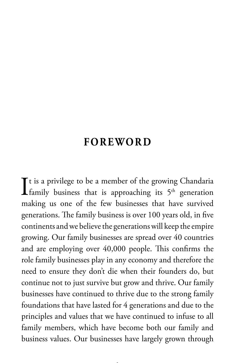## **FOREWORD**

 $\int$ t is a privilege to be a member of the growing Chandaria<br>family business that is approaching its 5<sup>th</sup> generation  $\mathbf{T}$ t is a privilege to be a member of the growing Chandaria making us one of the few businesses that have survived generations. The family business is over 100 years old, in five continents and we believe the generations will keep the empire growing. Our family businesses are spread over 40 countries and are employing over 40,000 people. This confirms the role family businesses play in any economy and therefore the need to ensure they don't die when their founders do, but continue not to just survive but grow and thrive. Our family businesses have continued to thrive due to the strong family foundations that have lasted for 4 generations and due to the principles and values that we have continued to infuse to all family members, which have become both our family and business values. Our businesses have largely grown through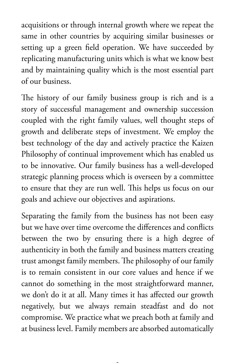acquisitions or through internal growth where we repeat the same in other countries by acquiring similar businesses or setting up a green field operation. We have succeeded by replicating manufacturing units which is what we know best and by maintaining quality which is the most essential part of our business.

The history of our family business group is rich and is a story of successful management and ownership succession coupled with the right family values, well thought steps of growth and deliberate steps of investment. We employ the best technology of the day and actively practice the Kaizen Philosophy of continual improvement which has enabled us to be innovative. Our family business has a well-developed strategic planning process which is overseen by a committee to ensure that they are run well. This helps us focus on our goals and achieve our objectives and aspirations.

Separating the family from the business has not been easy but we have over time overcome the differences and conflicts between the two by ensuring there is a high degree of authenticity in both the family and business matters creating trust amongst family members. The philosophy of our family is to remain consistent in our core values and hence if we cannot do something in the most straightforward manner, we don't do it at all. Many times it has affected our growth negatively, but we always remain steadfast and do not compromise. We practice what we preach both at family and at business level. Family members are absorbed automatically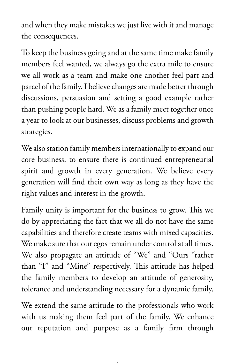and when they make mistakes we just live with it and manage the consequences.

To keep the business going and at the same time make family members feel wanted, we always go the extra mile to ensure we all work as a team and make one another feel part and parcel of the family. I believe changes are made better through discussions, persuasion and setting a good example rather than pushing people hard. We as a family meet together once a year to look at our businesses, discuss problems and growth strategies.

We also station family members internationally to expand our core business, to ensure there is continued entrepreneurial spirit and growth in every generation. We believe every generation will find their own way as long as they have the right values and interest in the growth.

Family unity is important for the business to grow. This we do by appreciating the fact that we all do not have the same capabilities and therefore create teams with mixed capacities. We make sure that our egos remain under control at all times. We also propagate an attitude of "We" and "Ours "rather than "I" and "Mine" respectively. This attitude has helped the family members to develop an attitude of generosity, tolerance and understanding necessary for a dynamic family.

We extend the same attitude to the professionals who work with us making them feel part of the family. We enhance our reputation and purpose as a family firm through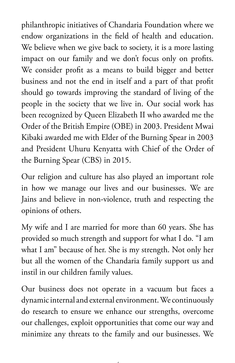philanthropic initiatives of Chandaria Foundation where we endow organizations in the field of health and education. We believe when we give back to society, it is a more lasting impact on our family and we don't focus only on profits. We consider profit as a means to build bigger and better business and not the end in itself and a part of that profit should go towards improving the standard of living of the people in the society that we live in. Our social work has been recognized by Queen Elizabeth II who awarded me the Order of the British Empire (OBE) in 2003. President Mwai Kibaki awarded me with Elder of the Burning Spear in 2003 and President Uhuru Kenyatta with Chief of the Order of the Burning Spear (CBS) in 2015.

Our religion and culture has also played an important role in how we manage our lives and our businesses. We are Jains and believe in non-violence, truth and respecting the opinions of others.

My wife and I are married for more than 60 years. She has provided so much strength and support for what I do. "I am what I am" because of her. She is my strength. Not only her but all the women of the Chandaria family support us and instil in our children family values.

Our business does not operate in a vacuum but faces a dynamic internal and external environment. We continuously do research to ensure we enhance our strengths, overcome our challenges, exploit opportunities that come our way and minimize any threats to the family and our businesses. We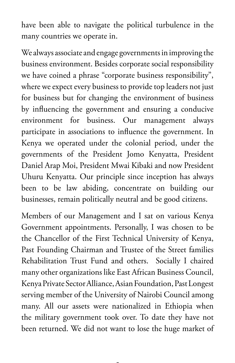have been able to navigate the political turbulence in the many countries we operate in.

We always associate and engage governments in improving the business environment. Besides corporate social responsibility we have coined a phrase "corporate business responsibility", where we expect every business to provide top leaders not just for business but for changing the environment of business by influencing the government and ensuring a conducive environment for business. Our management always participate in associations to influence the government. In Kenya we operated under the colonial period, under the governments of the President Jomo Kenyatta, President Daniel Arap Moi, President Mwai Kibaki and now President Uhuru Kenyatta. Our principle since inception has always been to be law abiding, concentrate on building our businesses, remain politically neutral and be good citizens.

Members of our Management and I sat on various Kenya Government appointments. Personally, I was chosen to be the Chancellor of the First Technical University of Kenya, Past Founding Chairman and Trustee of the Street families Rehabilitation Trust Fund and others. Socially I chaired many other organizations like East African Business Council, Kenya Private Sector Alliance, Asian Foundation, Past Longest serving member of the University of Nairobi Council among many. All our assets were nationalized in Ethiopia when the military government took over. To date they have not been returned. We did not want to lose the huge market of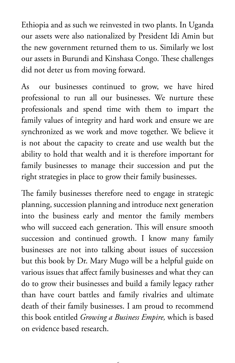Ethiopia and as such we reinvested in two plants. In Uganda our assets were also nationalized by President Idi Amin but the new government returned them to us. Similarly we lost our assets in Burundi and Kinshasa Congo. These challenges did not deter us from moving forward.

As our businesses continued to grow, we have hired professional to run all our businesses. We nurture these professionals and spend time with them to impart the family values of integrity and hard work and ensure we are synchronized as we work and move together. We believe it is not about the capacity to create and use wealth but the ability to hold that wealth and it is therefore important for family businesses to manage their succession and put the right strategies in place to grow their family businesses.

The family businesses therefore need to engage in strategic planning, succession planning and introduce next generation into the business early and mentor the family members who will succeed each generation. This will ensure smooth succession and continued growth. I know many family businesses are not into talking about issues of succession but this book by Dr. Mary Mugo will be a helpful guide on various issues that affect family businesses and what they can do to grow their businesses and build a family legacy rather than have court battles and family rivalries and ultimate death of their family businesses. I am proud to recommend this book entitled *Growing a Business Empire,* which is based on evidence based research.